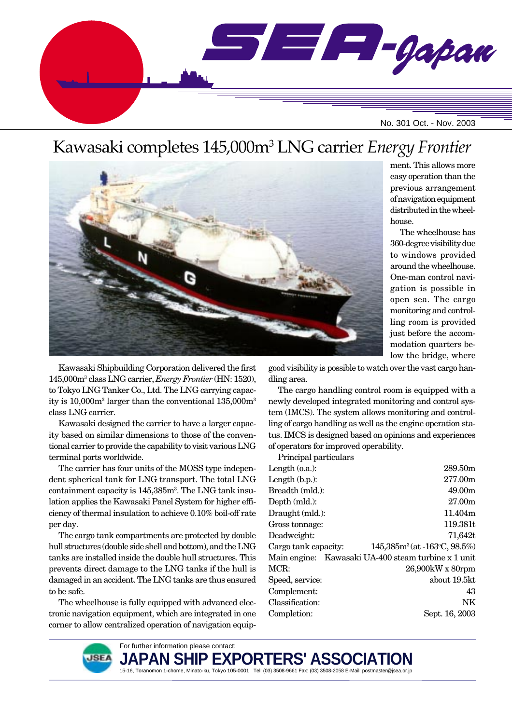

# Kawasaki completes 145,000m3 LNG carrier *Energy Frontier*



ment. This allows more easy operation than the previous arrangement of navigation equipment distributed in the wheelhouse.

The wheelhouse has 360-degree visibility due to windows provided around the wheelhouse. One-man control navigation is possible in open sea. The cargo monitoring and controlling room is provided just before the accommodation quarters below the bridge, where

Kawasaki Shipbuilding Corporation delivered the first 145,000m3 class LNG carrier, *Energy Frontier* (HN: 1520), to Tokyo LNG Tanker Co., Ltd. The LNG carrying capacity is 10,000m<sup>3</sup> larger than the conventional 135,000m<sup>3</sup> class LNG carrier.

Kawasaki designed the carrier to have a larger capacity based on similar dimensions to those of the conventional carrier to provide the capability to visit various LNG terminal ports worldwide.

The carrier has four units of the MOSS type independent spherical tank for LNG transport. The total LNG containment capacity is 145,385m3 . The LNG tank insulation applies the Kawasaki Panel System for higher efficiency of thermal insulation to achieve 0.10% boil-off rate per day.

The cargo tank compartments are protected by double hull structures (double side shell and bottom), and the LNG tanks are installed inside the double hull structures. This prevents direct damage to the LNG tanks if the hull is damaged in an accident. The LNG tanks are thus ensured to be safe.

The wheelhouse is fully equipped with advanced electronic navigation equipment, which are integrated in one corner to allow centralized operation of navigation equipgood visibility is possible to watch over the vast cargo handling area.

The cargo handling control room is equipped with a newly developed integrated monitoring and control system (IMCS). The system allows monitoring and controlling of cargo handling as well as the engine operation status. IMCS is designed based on opinions and experiences of operators for improved operability.

Principal particulars

| Length $(0.a.)$ :    | 289.50m                                             |
|----------------------|-----------------------------------------------------|
| Length $(b.p.):$     | 277.00m                                             |
| Breadth (mld.):      | 49.00m                                              |
| Depth (mld.):        | 27.00m                                              |
| Draught (mld.):      | 11.404m                                             |
| Gross tonnage:       | 119.381t                                            |
| Deadweight:          | 71,642t                                             |
| Cargo tank capacity: | $145,385m^3(at - 163°C, 98.5%)$                     |
|                      | Main engine: Kawasaki UA-400 steam turbine x 1 unit |
| MCR:                 | 26,900kW x 80rpm                                    |
| Speed, service:      | about 19.5kt                                        |
| Complement:          | 43                                                  |
| Classification:      | NK                                                  |
| Completion:          | Sept. 16, 2003                                      |
|                      |                                                     |



**JAPAN SHIP EXPORTERS' ASSOCIATION** 15-16, Toranomon 1-chome, Minato-ku, Tokyo 105-0001 Tel: (03) 3508-9661 Fax: (03) 3508-2058 E-Mail: postmaster@jsea.or.jp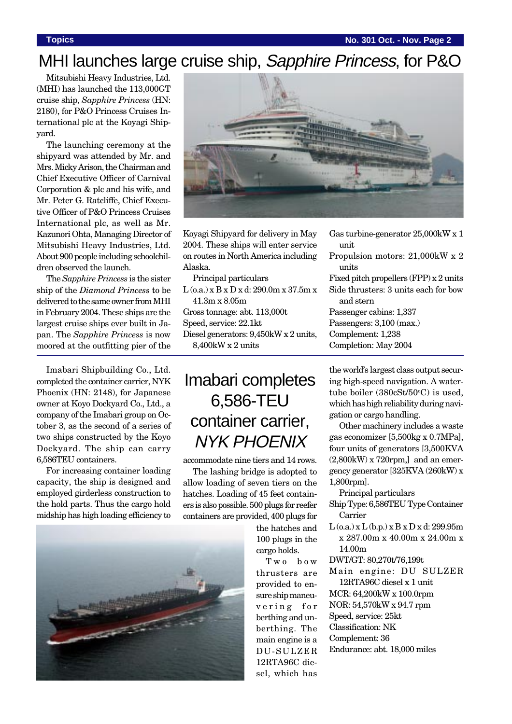**Topics No. 301 Oct. - Nov. Page 2**

# MHI launches large cruise ship, Sapphire Princess, for P&O

Mitsubishi Heavy Industries, Ltd. (MHI) has launched the 113,000GT cruise ship, *Sapphire Princess* (HN: 2180), for P&O Princess Cruises International plc at the Koyagi Shipyard.

The launching ceremony at the shipyard was attended by Mr. and Mrs. Micky Arison, the Chairman and Chief Executive Officer of Carnival Corporation & plc and his wife, and Mr. Peter G. Ratcliffe, Chief Executive Officer of P&O Princess Cruises International plc, as well as Mr. Kazunori Ohta, Managing Director of Mitsubishi Heavy Industries, Ltd. About 900 people including schoolchildren observed the launch.

The *Sapphire Princess* is the sister ship of the *Diamond Princess* to be delivered to the same owner from MHI in February 2004. These ships are the largest cruise ships ever built in Japan. The *Sapphire Princess* is now moored at the outfitting pier of the

Imabari Shipbuilding Co., Ltd. completed the container carrier, NYK Phoenix (HN: 2148), for Japanese owner at Koyo Dockyard Co., Ltd., a company of the Imabari group on October 3, as the second of a series of two ships constructed by the Koyo Dockyard. The ship can carry 6,586TEU containers.

For increasing container loading capacity, the ship is designed and employed girderless construction to the hold parts. Thus the cargo hold midship has high loading efficiency to





Koyagi Shipyard for delivery in May 2004. These ships will enter service on routes in North America including Alaska.

Principal particulars L (o.a.) x B x D x d: 290.0m x 37.5m x 41.3m x 8.05m Gross tonnage: abt. 113,000t

Speed, service: 22.1kt

Diesel generators: 9,450kW x 2 units, 8,400kW x 2 units

# Imabari completes 6,586-TEU container carrier, NYK PHOENIX

accommodate nine tiers and 14 rows.

The lashing bridge is adopted to allow loading of seven tiers on the hatches. Loading of 45 feet containers is also possible. 500 plugs for reefer containers are provided, 400 plugs for

> the hatches and 100 plugs in the cargo holds.

Two bow thrusters are provided to ensure ship maneuvering for berthing and unberthing. The main engine is a DU-SULZER 12RTA96C diesel, which has

| Gas turbine-generator 25,000 kW x 1      |
|------------------------------------------|
| unit                                     |
| Propulsion motors: 21,000kW x 2          |
| units                                    |
| Fixed pitch propellers $(FPP)$ x 2 units |
| Side thrusters: 3 units each for bow     |
| and stern                                |
| Passenger cabins: 1,337                  |
| Passengers: 3,100 (max.)                 |
| Complement: 1,238                        |
| Completion: May 2004                     |
|                                          |

### the world's largest class output securing high-speed navigation. A watertube boiler (380cSt/50°C) is used, which has high reliability during navigation or cargo handling.

Other machinery includes a waste gas economizer [5,500kg x 0.7MPa], four units of generators [3,500KVA (2,800kW) x 720rpm,] and an emergency generator [325KVA (260kW) x 1,800rpm].

Principal particulars

- Ship Type: 6,586TEU Type Container Carrier
- $L$  (o.a.) x  $L$  (b.p.) x  $B$  x  $D$  x d: 299.95m x 287.00m x 40.00m x 24.00m x 14.00m
- DWT/GT: 80,270t/76,199t
- Main engine: DU SULZER 12RTA96C diesel x 1 unit MCR: 64,200kW x 100.0rpm
- NOR: 54,570kW x 94.7 rpm
- Speed, service: 25kt
- Classification: NK
- Complement: 36
- Endurance: abt. 18,000 miles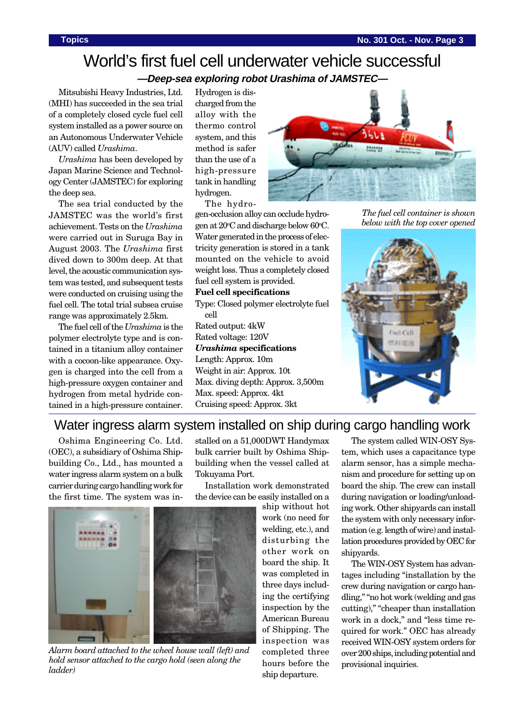## World's first fuel cell underwater vehicle successful **—Deep-sea exploring robot Urashima of JAMSTEC—**

Mitsubishi Heavy Industries, Ltd. (MHI) has succeeded in the sea trial of a completely closed cycle fuel cell system installed as a power source on an Autonomous Underwater Vehicle (AUV) called *Urashima*.

*Urashima* has been developed by Japan Marine Science and Technology Center (JAMSTEC) for exploring the deep sea.

The sea trial conducted by the JAMSTEC was the world's first achievement. Tests on the *Urashima* were carried out in Suruga Bay in August 2003. The *Urashima* first dived down to 300m deep. At that level, the acoustic communication system was tested, and subsequent tests were conducted on cruising using the fuel cell. The total trial subsea cruise range was approximately 2.5km.

The fuel cell of the *Urashima* is the polymer electrolyte type and is contained in a titanium alloy container with a cocoon-like appearance. Oxygen is charged into the cell from a high-pressure oxygen container and hydrogen from metal hydride contained in a high-pressure container. Hydrogen is discharged from the alloy with the thermo control system, and this method is safer than the use of a high-pressure tank in handling hydrogen.

The hydrogen-occlusion alloy can occlude hydrogen at 20°C and discharge below 60°C. Water generated in the process of electricity generation is stored in a tank mounted on the vehicle to avoid weight loss. Thus a completely closed fuel cell system is provided. **Fuel cell specifications**

Type: Closed polymer electrolyte fuel cell Rated output: 4kW

Rated voltage: 120V *Urashima* **specifications** Length: Approx. 10m

Weight in air: Approx. 10t Max. diving depth: Approx. 3,500m Max. speed: Approx. 4kt Cruising speed: Approx. 3kt



*The fuel cell container is shown below with the top cover opened*



## Water ingress alarm system installed on ship during cargo handling work

Oshima Engineering Co. Ltd. (OEC), a subsidiary of Oshima Shipbuilding Co., Ltd., has mounted a water ingress alarm system on a bulk carrier during cargo handling work for the first time. The system was installed on a 51,000DWT Handymax bulk carrier built by Oshima Shipbuilding when the vessel called at Tokuyama Port.

Installation work demonstrated the device can be easily installed on a



*Alarm board attached to the wheel house wall (left) and hold sensor attached to the cargo hold (seen along the ladder)*

ship without hot work (no need for welding, etc.), and disturbing the other work on board the ship. It was completed in three days including the certifying inspection by the American Bureau of Shipping. The inspection was completed three hours before the ship departure.

The system called WIN-OSY System, which uses a capacitance type alarm sensor, has a simple mechanism and procedure for setting up on board the ship. The crew can install during navigation or loading/unloading work. Other shipyards can install the system with only necessary information (e.g. length of wire) and installation procedures provided by OEC for shipyards.

The WIN-OSY System has advantages including "installation by the crew during navigation or cargo handling," "no hot work (welding and gas cutting)," "cheaper than installation work in a dock," and "less time required for work." OEC has already received WIN-OSY system orders for over 200 ships, including potential and provisional inquiries.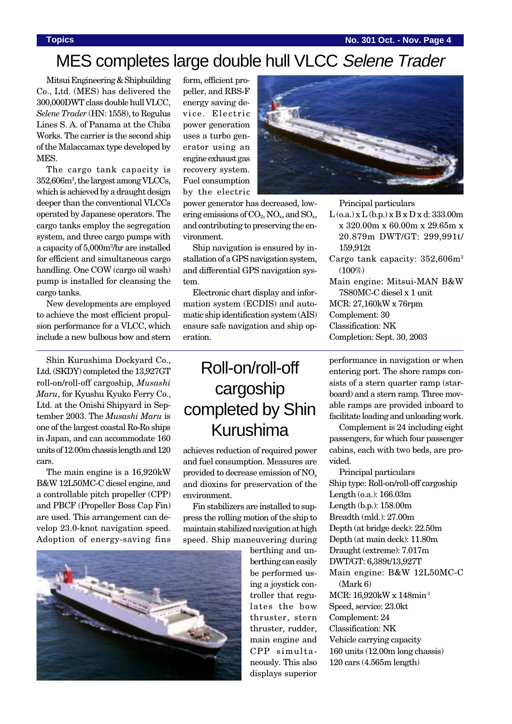### **Topics No. 301 Oct. - Nov. Page 4**

# MES completes large double hull VLCC Selene Trader

power generator has decreased, lowering emissions of  $CO<sub>2</sub>$ , NO<sub>x</sub>, and SO<sub>x</sub>, and contributing to preserving the en-

Ship navigation is ensured by installation of a GPS navigation system, and differential GPS navigation sys-

Electronic chart display and information system (ECDIS) and automatic ship identification system (AIS) ensure safe navigation and ship op-

Mitsui Engineering & Shipbuilding Co., Ltd. (MES) has delivered the 300,000DWT class double hull VLCC, *Selene Trader* (HN: 1558), to Regulus Lines S. A. of Panama at the Chiba Works. The carrier is the second ship of the Malaccamax type developed by MES.

The cargo tank capacity is 352,606m3 , the largest among VLCCs, which is achieved by a draught design deeper than the conventional VLCCs operated by Japanese operators. The cargo tanks employ the segregation system, and three cargo pumps with a capacity of 5,000m3 /hr are installed for efficient and simultaneous cargo handling. One COW (cargo oil wash) pump is installed for cleansing the cargo tanks.

New developments are employed to achieve the most efficient propulsion performance for a VLCC, which include a new bulbous bow and stern

Shin Kurushima Dockyard Co., Ltd. (SKDY) completed the 13,927GT roll-on/roll-off cargoship, *Musashi Maru*, for Kyushu Kyuko Ferry Co., Ltd. at the Onishi Shipyard in September 2003. The *Musashi Maru* is one of the largest coastal Ro-Ro ships in Japan, and can accommodate 160 units of 12.00m chassis length and 120 cars.

The main engine is a 16,920kW B&W 12L50MC-C diesel engine, and a controllable pitch propeller (CPP) and PBCF (Propeller Boss Cap Fin) are used. This arrangement can develop 23.0-knot navigation speed. Adoption of energy-saving fins



form, efficient propeller, and RBS-F energy saving device. Electric power generation uses a turbo generator using an engine exhaust gas recovery system. Fuel consumption by the electric

vironment.

tem.

eration.



Principal particulars

- $L$  (o.a.) x  $L$  (b.p.) x  $B$  x  $D$  x d: 333.00m x 320.00m x 60.00m x 29.65m x 20.879m DWT/GT: 299,991t/ 159,912t
- Cargo tank capacity:  $352,606m^3$  $(100\%)$
- Main engine: Mitsui-MAN B&W 7S80MC-C diesel x 1 unit MCR: 27,160kW x 76rpm Complement: 30 Classification: NK Completion: Sept. 30, 2003

# Roll-on/roll-off cargoship completed by Shin Kurushima

achieves reduction of required power and fuel consumption. Measures are provided to decrease emission of NO<sub>x</sub> and dioxins for preservation of the environment.

Fin stabilizers are installed to suppress the rolling motion of the ship to maintain stabilized navigation at high speed. Ship maneuvering during

> berthing and unberthing can easily be performed using a joystick controller that regulates the bow thruster, stern thruster, rudder, main engine and CPP simultaneously. This also displays superior

performance in navigation or when entering port. The shore ramps consists of a stern quarter ramp (starboard) and a stern ramp. Three movable ramps are provided inboard to facilitate loading and unloading work.

Complement is 24 including eight passengers, for which four passenger cabins, each with two beds, are provided.

Principal particulars Ship type: Roll-on/roll-off cargoship Length (o.a.): 166.03m Length (b.p.): 158.00m Breadth (mld.): 27.00m Depth (at bridge deck): 22.50m Depth (at main deck): 11.80m Draught (extreme): 7.017m DWT/GT: 6,389t/13,927T Main engine: B&W 12L50MC-C (Mark 6) MCR: 16,920kW x 148min-1 Speed, service: 23.0kt Complement: 24 Classification: NK Vehicle carrying capacity 160 units (12.00m long chassis) 120 cars (4.565m length)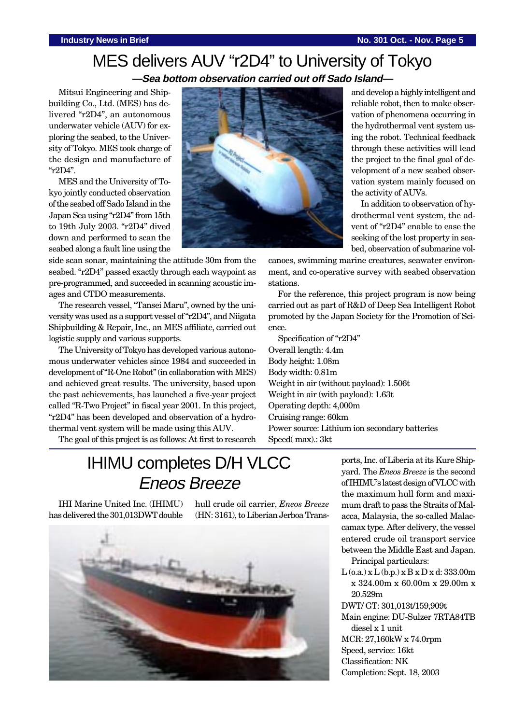## MES delivers AUV "r2D4" to University of Tokyo **—Sea bottom observation carried out off Sado Island—**

Mitsui Engineering and Shipbuilding Co., Ltd. (MES) has delivered "r2D4", an autonomous underwater vehicle (AUV) for exploring the seabed, to the University of Tokyo. MES took charge of the design and manufacture of "r2D4".

MES and the University of Tokyo jointly conducted observation of the seabed off Sado Island in the Japan Sea using "r2D4" from 15th to 19th July 2003. "r2D4" dived down and performed to scan the seabed along a fault line using the

side scan sonar, maintaining the attitude 30m from the seabed. "r2D4" passed exactly through each waypoint as pre-programmed, and succeeded in scanning acoustic images and CTDO measurements.

The research vessel, "Tansei Maru", owned by the university was used as a support vessel of "r2D4", and Niigata Shipbuilding & Repair, Inc., an MES affiliate, carried out logistic supply and various supports.

The University of Tokyo has developed various autonomous underwater vehicles since 1984 and succeeded in development of "R-One Robot" (in collaboration with MES) and achieved great results. The university, based upon the past achievements, has launched a five-year project called "R-Two Project" in fiscal year 2001. In this project, "r2D4" has been developed and observation of a hydrothermal vent system will be made using this AUV.

The goal of this project is as follows: At first to research



and develop a highly intelligent and reliable robot, then to make observation of phenomena occurring in the hydrothermal vent system using the robot. Technical feedback through these activities will lead the project to the final goal of development of a new seabed observation system mainly focused on the activity of AUVs.

In addition to observation of hydrothermal vent system, the advent of "r2D4" enable to ease the seeking of the lost property in seabed, observation of submarine vol-

canoes, swimming marine creatures, seawater environment, and co-operative survey with seabed observation stations.

For the reference, this project program is now being carried out as part of R&D of Deep Sea Intelligent Robot promoted by the Japan Society for the Promotion of Science.

Specification of "r2D4" Overall length: 4.4m Body height: 1.08m Body width: 0.81m Weight in air (without payload): 1.506t Weight in air (with payload): 1.63t Operating depth: 4,000m Cruising range: 60km Power source: Lithium ion secondary batteries Speed( max).: 3kt

# IHIMU completes D/H VLCC Eneos Breeze

IHI Marine United Inc. (IHIMU) has delivered the 301,013DWT double

hull crude oil carrier, *Eneos Breeze* (HN: 3161), to Liberian Jerboa Trans-



ports, Inc. of Liberia at its Kure Shipyard. The *Eneos Breeze* is the second of IHIMU's latest design of VLCC with the maximum hull form and maximum draft to pass the Straits of Malacca, Malaysia, the so-called Malaccamax type. After delivery, the vessel entered crude oil transport service between the Middle East and Japan.

Principal particulars:

 $L$  (o.a.) x  $L$  (b.p.) x  $B$  x  $D$  x d: 333.00m x 324.00m x 60.00m x 29.00m x 20.529m

DWT/ GT: 301,013t/159,909t

Main engine: DU-Sulzer 7RTA84TB diesel x 1 unit MCR: 27,160kW x 74.0rpm

Speed, service: 16kt

Classification: NK

Completion: Sept. 18, 2003